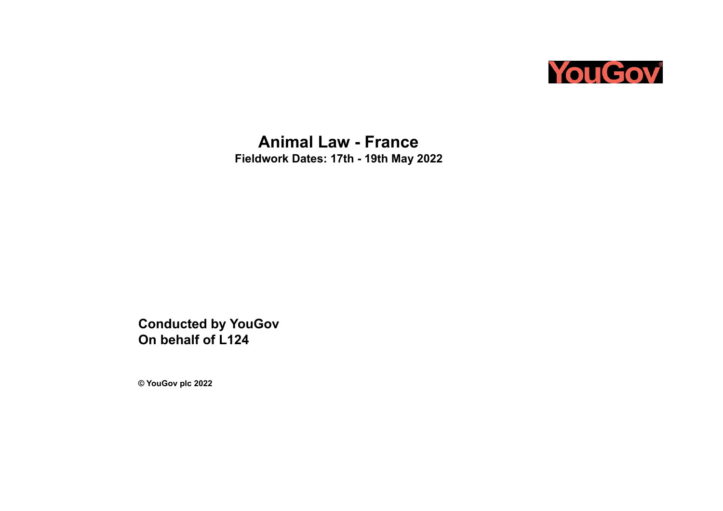

**Animal Law - France Fieldwork Dates: 17th - 19th May 2022**

**Conducted by YouGov On behalf of L124**

**© YouGov plc 2022**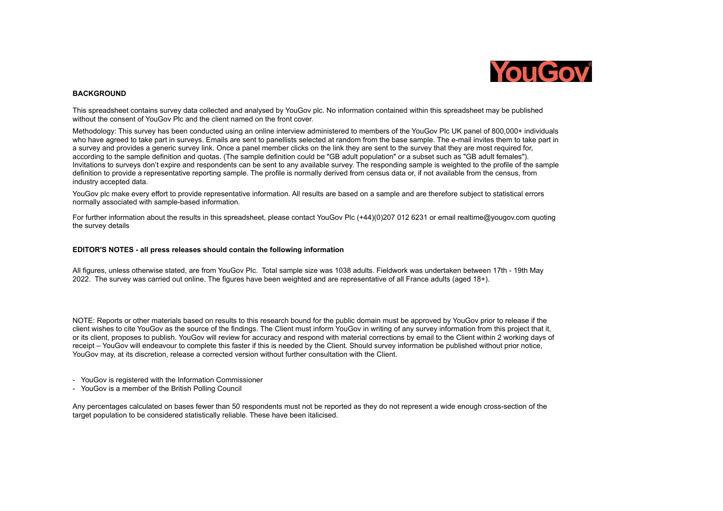

## **BACKGROUND**

This spreadsheet contains survey data collected and analysed by YouGov plc. No information contained within this spreadsheet may be published without the consent of YouGov Plc and the client named on the front cover.

Methodology: This survey has been conducted using an online interview administered to members of the YouGov Plc UK panel of 800,000+ individuals who have agreed to take part in surveys. Emails are sent to panellists selected at random from the base sample. The e-mail invites them to take part in a survey and provides a generic survey link. Once a panel member clicks on the link they are sent to the survey that they are most required for, according to the sample definition and quotas. (The sample definition could be "GB adult population" or a subset such as "GB adult females"). Invitations to surveys don't expire and respondents can be sent to any available survey. The responding sample is weighted to the profile of the sample definition to provide a representative reporting sample. The profile is normally derived from census data or, if not available from the census, from industry accepted data.

YouGov plc make every effort to provide representative information. All results are based on a sample and are therefore subject to statistical errors normally associated with sample-based information.

For further information about the results in this spreadsheet, please contact YouGov Plc (+44)(0)207 012 6231 or email realtime@yougov.com quoting the survey details

## **EDITOR'S NOTES - all press releases should contain the following information**

All figures, unless otherwise stated, are from YouGov Plc. Total sample size was 1038 adults. Fieldwork was undertaken between 17th - 19th May 2022. The survey was carried out online. The figures have been weighted and are representative of all France adults (aged 18+).

NOTE: Reports or other materials based on results to this research bound for the public domain must be approved by YouGov prior to release if the client wishes to cite YouGov as the source of the findings. The Client must inform YouGov in writing of any survey information from this project that it, or its client, proposes to publish. YouGov will review for accuracy and respond with material corrections by email to the Client within 2 working days of receipt – YouGov will endeavour to complete this faster if this is needed by the Client. Should survey information be published without prior notice, YouGov may, at its discretion, release a corrected version without further consultation with the Client.

- YouGov is registered with the Information Commissioner
- YouGov is a member of the British Polling Council

Any percentages calculated on bases fewer than 50 respondents must not be reported as they do not represent a wide enough cross-section of the target population to be considered statistically reliable. These have been italicised.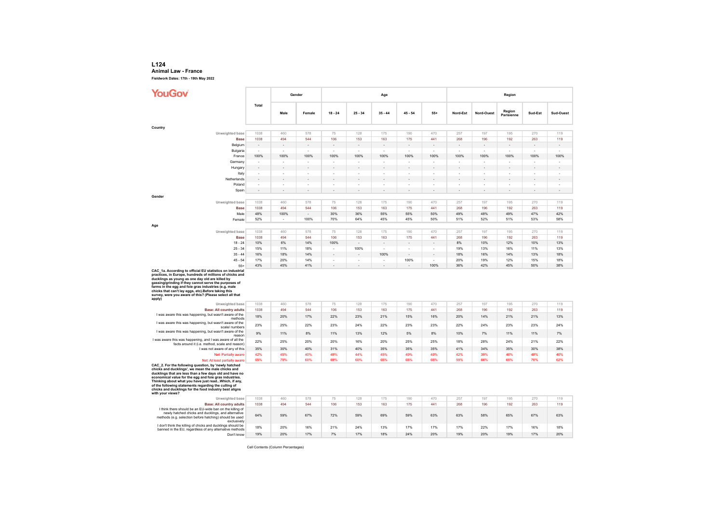## **L124 Animal Law - France**

**Fieldwork Dates: 17th - 19th May 2022**

| YouGov                                                                                                                                                                                                                                                                                                                                                                                                    |                          |                          | Gender     |                               |                                                      | Age                           |           |           | Region     |            |                      |            |            |  |
|-----------------------------------------------------------------------------------------------------------------------------------------------------------------------------------------------------------------------------------------------------------------------------------------------------------------------------------------------------------------------------------------------------------|--------------------------|--------------------------|------------|-------------------------------|------------------------------------------------------|-------------------------------|-----------|-----------|------------|------------|----------------------|------------|------------|--|
|                                                                                                                                                                                                                                                                                                                                                                                                           | Total                    | Male                     | Female     | $18 - 24$                     | $25 - 34$                                            | $35 - 44$                     | $45 - 54$ | $55+$     | Nord-Est   | Nord-Ouest | Region<br>Parisienne | Sud-Est    | Sud-Ouest  |  |
| Country                                                                                                                                                                                                                                                                                                                                                                                                   |                          |                          |            |                               |                                                      |                               |           |           |            |            |                      |            |            |  |
| Unweighted base                                                                                                                                                                                                                                                                                                                                                                                           | 1038                     | 460                      | 578        | 75                            | 128                                                  | 175                           | 190       | 470       | 257        | 197        | 195                  | 270        | 119        |  |
| <b>Base</b>                                                                                                                                                                                                                                                                                                                                                                                               | 1038                     | 494                      | 544        | 106                           | 153                                                  | 163                           | 175       | 441       | 268        | 196        | 192                  | 263        | 119        |  |
| Belgium                                                                                                                                                                                                                                                                                                                                                                                                   | $\overline{\phantom{a}}$ |                          |            | ÷,                            |                                                      |                               |           |           |            |            |                      |            |            |  |
| Bulgaria                                                                                                                                                                                                                                                                                                                                                                                                  | $\overline{\phantom{a}}$ |                          |            |                               |                                                      | ٠                             |           |           |            |            | $\blacksquare$       |            |            |  |
| France                                                                                                                                                                                                                                                                                                                                                                                                    | 100%                     | 100%                     | 100%       | 100%                          | 100%                                                 | 100%                          | 100%      | 100%      | 100%       | 100%       | 100%                 | 100%       | 100%       |  |
| Germany                                                                                                                                                                                                                                                                                                                                                                                                   | ×                        |                          | J.         | J.                            | ×                                                    | ×                             |           | J.        |            | ×          | i,                   |            | i,         |  |
| Hungary                                                                                                                                                                                                                                                                                                                                                                                                   | ÷,                       |                          |            |                               |                                                      |                               |           |           |            |            |                      |            |            |  |
| Italy                                                                                                                                                                                                                                                                                                                                                                                                     | $\sim$                   | ×                        | ٠          | ٠                             | . .                                                  | ×                             |           | ٠         | ×          | ٠          | ٠                    |            | ٠          |  |
| Netherlands                                                                                                                                                                                                                                                                                                                                                                                               | ×,                       |                          |            |                               |                                                      |                               |           |           |            |            |                      |            |            |  |
| Poland                                                                                                                                                                                                                                                                                                                                                                                                    | ×                        |                          | Ĭ.         | L                             |                                                      | J.                            |           | ×         |            | ٠          | J.                   |            | ٠          |  |
| Spain                                                                                                                                                                                                                                                                                                                                                                                                     |                          | $\overline{\phantom{a}}$ |            |                               |                                                      |                               |           |           |            |            |                      |            |            |  |
| Gender                                                                                                                                                                                                                                                                                                                                                                                                    |                          |                          |            |                               |                                                      |                               |           |           |            |            |                      |            |            |  |
| Unweighted base                                                                                                                                                                                                                                                                                                                                                                                           | 1038                     | 460                      | 578        | 75                            | 128                                                  | 175                           | 190       | 470       | 257        | 197        | 195                  | 270        | 119        |  |
| <b>Base</b>                                                                                                                                                                                                                                                                                                                                                                                               | 1038                     | 494                      | 544        | 106                           | 153                                                  | 163                           | 175       | 441       | 268        | 196        | 192                  | 263        | 119        |  |
| Male                                                                                                                                                                                                                                                                                                                                                                                                      | 48%                      | 100%                     | ÷,         | 30%                           | 36%                                                  | 55%                           | 55%       | 50%       | 49%        | 48%        | 49%                  | 47%        | 42%        |  |
| Female                                                                                                                                                                                                                                                                                                                                                                                                    | 52%                      | $\sim$                   | 100%       | 70%                           | 64%                                                  | 45%                           | 45%       | 50%       | 51%        | 52%        | 51%                  | 53%        | 58%        |  |
| Age                                                                                                                                                                                                                                                                                                                                                                                                       |                          |                          |            |                               |                                                      |                               |           |           |            |            |                      |            |            |  |
| Unweighted base                                                                                                                                                                                                                                                                                                                                                                                           | 1038                     | 460                      | 578        | 75                            | 128                                                  | 175                           | 190       | 470       | 257        | 197        | 195                  | 270        | 119        |  |
| <b>Base</b>                                                                                                                                                                                                                                                                                                                                                                                               | 1038                     | 494                      | 544        | 106                           | 153                                                  | 163                           | 175       | 441       | 268        | 196        | 192                  | 263        | 119        |  |
| $18 - 24$                                                                                                                                                                                                                                                                                                                                                                                                 | 10%                      | 6%                       | 14%        | 100%                          |                                                      |                               |           |           | 8%         | 10%        | 12%                  | 10%        | 13%        |  |
| $25 - 34$                                                                                                                                                                                                                                                                                                                                                                                                 | 15%                      | 11%                      | 18%        | ×                             | 100%                                                 |                               |           | ÷         | 19%        | 13%        | 16%                  | 11%        | 13%        |  |
| $35 - 44$                                                                                                                                                                                                                                                                                                                                                                                                 | 16%                      | 18%                      | 14%        | ×,                            |                                                      | 100%                          |           |           | 18%        | 16%        | 14%                  | 13%        | 18%        |  |
| $45 - 54$<br>$55+$                                                                                                                                                                                                                                                                                                                                                                                        | 17%<br>43%               | 20%<br>45%               | 14%<br>41% | ×<br>$\overline{\phantom{a}}$ | $\overline{\phantom{a}}$<br>$\overline{\phantom{a}}$ | ×<br>$\overline{\phantom{a}}$ | 100%      | ÷<br>100% | 20%<br>36% | 19%<br>42% | 12%<br>45%           | 15%<br>50% | 18%<br>38% |  |
| practices, in Europe, hundreds of millions of chicks and<br>ducklings as young as one day old are killed by<br>gassing/grinding if they cannot serve the purposes of<br>farms in the egg and fole gras industries (e.g. male<br>chicks that can't lay eggs, etc). Before taking this<br>survey, were you aware of this? (Please select all that                                                           |                          |                          |            |                               |                                                      |                               |           |           |            |            |                      |            |            |  |
| apply)                                                                                                                                                                                                                                                                                                                                                                                                    |                          |                          |            |                               |                                                      |                               |           |           |            |            |                      |            |            |  |
| Unweighted base                                                                                                                                                                                                                                                                                                                                                                                           | 1038                     | 460                      | 578        | 75                            | 128                                                  | 175                           | 190       | 470       | 257        | 197        | 195                  | 270        | 119        |  |
| <b>Base: All country adults</b><br>I was aware this was happening, but wasn't aware of the                                                                                                                                                                                                                                                                                                                | 1038                     | 494                      | 544        | 106                           | 153                                                  | 163                           | 175       | 441       | 268        | 196        | 192                  | 263        | 119        |  |
| methods                                                                                                                                                                                                                                                                                                                                                                                                   | 18%                      | 20%                      | 17%        | 22%                           | 23%                                                  | 21%                           | 15%       | 16%       | 20%        | 14%        | 21%                  | 21%        | 13%        |  |
| I was aware this was happening, but wasn't aware of the<br>scale/ numbers                                                                                                                                                                                                                                                                                                                                 | 23%                      | 25%                      | 22%        | 23%                           | 24%                                                  | 22%                           | 23%       | 23%       | 22%        | 24%        | 23%                  | 23%        | 24%        |  |
| I was aware this was happening, but wasn't aware of the                                                                                                                                                                                                                                                                                                                                                   | 9%                       | 11%                      | 8%         | 11%                           | 13%                                                  | 12%                           | 5%        | 8%        | 10%        | 7%         | 11%                  | 11%        | 7%         |  |
| reason                                                                                                                                                                                                                                                                                                                                                                                                    |                          |                          |            |                               |                                                      |                               |           |           |            |            |                      |            |            |  |
| I was aware this was happening, and I was aware of all the<br>facts around it (i.e. method, scale and reason)                                                                                                                                                                                                                                                                                             | 22%                      | 25%                      | 20%        | 20%                           | 16%                                                  | 20%                           | 25%       | 25%       | 18%        | 28%        | 24%                  | 21%        | 22%        |  |
| I was not aware of any of this                                                                                                                                                                                                                                                                                                                                                                            | 35%                      | 30%                      | 40%        | 31%                           | 40%                                                  | 35%                           | 35%       | 35%       | 41%        | 34%        | 35%                  | 30%        | 38%        |  |
| Net: Partially aware                                                                                                                                                                                                                                                                                                                                                                                      | 42%                      | 45%                      | 40%        | 49%                           | 44%                                                  | 45%                           | 40%       | 40%       | 42%        | 39%        | 40%                  | 48%        | 40%        |  |
| Net: At least partially aware                                                                                                                                                                                                                                                                                                                                                                             | 65%                      | 70%                      | 60%        | 69%                           | 60%                                                  | 65%                           | 65%       | 65%       | 59%        | 66%        | 65%                  | 70%        | 62%        |  |
| CAC_2. For the following question, by 'newly hatched<br>chicks and ducklings', we mean the male chicks and<br>ducklings that are less than a few days old and have no<br>economical value for the egg and foie gras industries.<br>Thinking about what you have just readWhich, if any,<br>of the following statements regarding the culling of<br>chicks and ducklings for the food industry best aligns |                          |                          |            |                               |                                                      |                               |           |           |            |            |                      |            |            |  |
| with your views?<br>Unweighted base                                                                                                                                                                                                                                                                                                                                                                       | 1038                     | 460                      | 578        | 75                            | 128                                                  | 175                           | 190       | 470       | 257        | 197        | 195                  | 270        | 119        |  |
| <b>Base: All country adults</b>                                                                                                                                                                                                                                                                                                                                                                           | 1038                     | 494                      | 544        | 106                           | 153                                                  | 163                           | 175       | 441       | 268        | 196        | 192                  | 263        | 119        |  |
| I think there should be an EU-wide ban on the killing of<br>newly hatched chicks and ducklings, and alternative<br>methods (e.g. selection before hatching) should be used                                                                                                                                                                                                                                | 64%                      | 59%                      | 67%        | 72%                           | 59%                                                  | 69%                           | 59%       | 63%       | 63%        | 58%        | 65%                  | 67%        | 63%        |  |
| exclusively<br>I don't think the killing of chicks and ducklings should be<br>banned in the EU, regardless of any alternative methods                                                                                                                                                                                                                                                                     | 18%                      | 20%                      | 16%        | 21%                           | 24%                                                  | 13%                           | 17%       | 17%       | 17%        | 22%        | 17%                  | 16%        | 18%        |  |
| Don't know                                                                                                                                                                                                                                                                                                                                                                                                | 19%                      | 20%                      | 17%        | 7%                            | 17%                                                  | 18%                           | 24%       | 20%       | 19%        | 20%        | 19%                  | 17%        | 20%        |  |

Cell Contents (Column Percentages)